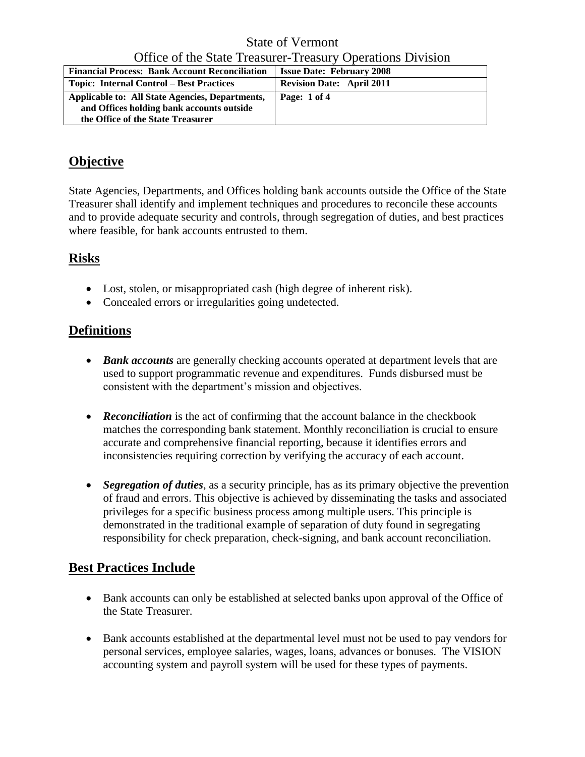State of Vermont Office of the State Treasurer-Treasury Operations Division

| <b>Financial Process: Bank Account Reconciliation</b>                                                                             | <b>Issue Date: February 2008</b> |
|-----------------------------------------------------------------------------------------------------------------------------------|----------------------------------|
| <b>Topic: Internal Control – Best Practices</b>                                                                                   | <b>Revision Date: April 2011</b> |
| Applicable to: All State Agencies, Departments,<br>and Offices holding bank accounts outside<br>the Office of the State Treasurer | Page: 1 of 4                     |

# **Objective**

State Agencies, Departments, and Offices holding bank accounts outside the Office of the State Treasurer shall identify and implement techniques and procedures to reconcile these accounts and to provide adequate security and controls, through segregation of duties, and best practices where feasible, for bank accounts entrusted to them.

### **Risks**

- Lost, stolen, or misappropriated cash (high degree of inherent risk).
- Concealed errors or irregularities going undetected.

## **Definitions**

- *Bank accounts* are generally checking accounts operated at department levels that are used to support programmatic revenue and expenditures. Funds disbursed must be consistent with the department's mission and objectives.
- **Reconciliation** is the act of confirming that the account balance in the checkbook matches the corresponding bank statement. Monthly reconciliation is crucial to ensure accurate and comprehensive financial reporting, because it identifies errors and inconsistencies requiring correction by verifying the accuracy of each account.
- *Segregation of duties*, as a security principle, has as its primary objective the prevention of fraud and errors. This objective is achieved by disseminating the tasks and associated privileges for a specific business process among multiple users. This principle is demonstrated in the traditional example of separation of duty found in segregating responsibility for check preparation, check-signing, and bank account reconciliation.

### **Best Practices Include**

- Bank accounts can only be established at selected banks upon approval of the Office of the State Treasurer.
- Bank accounts established at the departmental level must not be used to pay vendors for personal services, employee salaries, wages, loans, advances or bonuses. The VISION accounting system and payroll system will be used for these types of payments.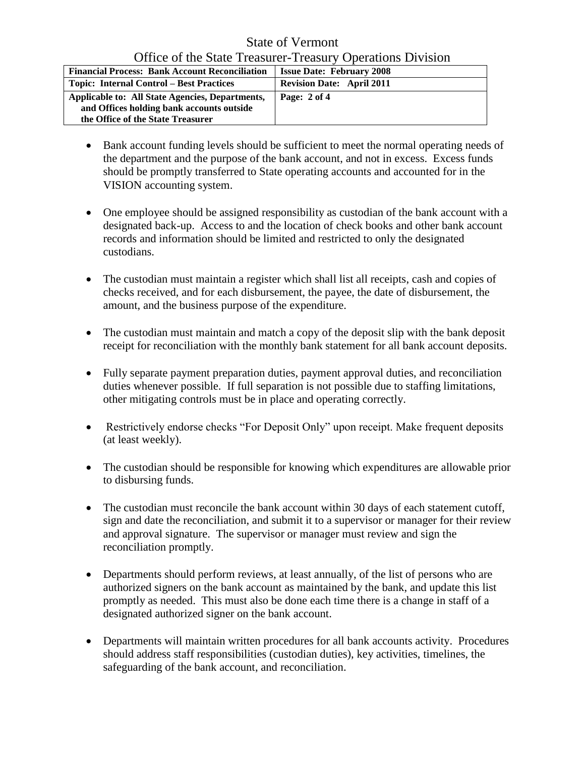#### State of Vermont Office of the State Treasurer-Treasury Operations Division

| <b>Financial Process: Bank Account Reconciliation</b>                                                                             | <b>Issue Date: February 2008</b> |
|-----------------------------------------------------------------------------------------------------------------------------------|----------------------------------|
| <b>Topic: Internal Control – Best Practices</b>                                                                                   | <b>Revision Date: April 2011</b> |
| Applicable to: All State Agencies, Departments,<br>and Offices holding bank accounts outside<br>the Office of the State Treasurer | Page: 2 of 4                     |

- Bank account funding levels should be sufficient to meet the normal operating needs of the department and the purpose of the bank account, and not in excess. Excess funds should be promptly transferred to State operating accounts and accounted for in the VISION accounting system.
- One employee should be assigned responsibility as custodian of the bank account with a designated back-up. Access to and the location of check books and other bank account records and information should be limited and restricted to only the designated custodians.
- The custodian must maintain a register which shall list all receipts, cash and copies of checks received, and for each disbursement, the payee, the date of disbursement, the amount, and the business purpose of the expenditure.
- The custodian must maintain and match a copy of the deposit slip with the bank deposit receipt for reconciliation with the monthly bank statement for all bank account deposits.
- Fully separate payment preparation duties, payment approval duties, and reconciliation duties whenever possible. If full separation is not possible due to staffing limitations, other mitigating controls must be in place and operating correctly.
- Restrictively endorse checks "For Deposit Only" upon receipt. Make frequent deposits (at least weekly).
- The custodian should be responsible for knowing which expenditures are allowable prior to disbursing funds.
- The custodian must reconcile the bank account within 30 days of each statement cutoff, sign and date the reconciliation, and submit it to a supervisor or manager for their review and approval signature. The supervisor or manager must review and sign the reconciliation promptly.
- Departments should perform reviews, at least annually, of the list of persons who are authorized signers on the bank account as maintained by the bank, and update this list promptly as needed. This must also be done each time there is a change in staff of a designated authorized signer on the bank account.
- Departments will maintain written procedures for all bank accounts activity. Procedures should address staff responsibilities (custodian duties), key activities, timelines, the safeguarding of the bank account, and reconciliation.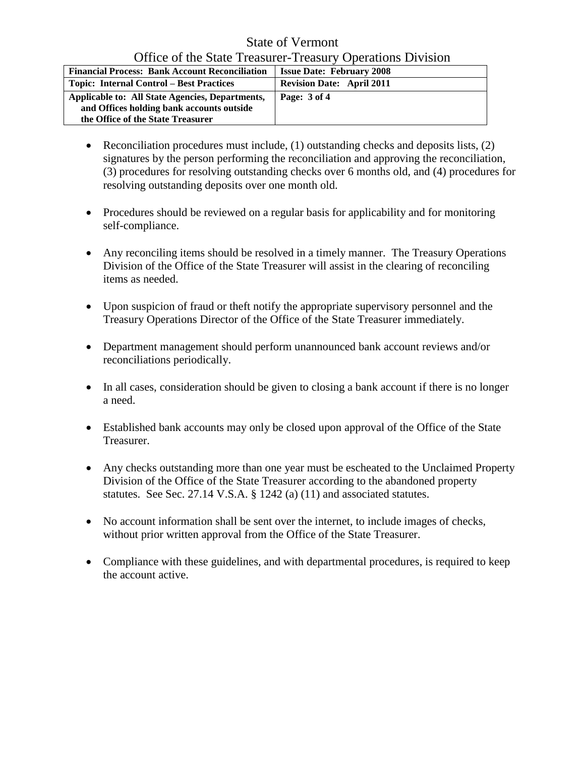#### State of Vermont Office of the State Treasurer-Treasury Operations Division

| <b>Financial Process: Bank Account Reconciliation</b>                                                                             | <b>Issue Date: February 2008</b> |
|-----------------------------------------------------------------------------------------------------------------------------------|----------------------------------|
| <b>Topic: Internal Control – Best Practices</b>                                                                                   | <b>Revision Date: April 2011</b> |
| Applicable to: All State Agencies, Departments,<br>and Offices holding bank accounts outside<br>the Office of the State Treasurer | Page: 3 of 4                     |

- Reconciliation procedures must include,  $(1)$  outstanding checks and deposits lists,  $(2)$ signatures by the person performing the reconciliation and approving the reconciliation, (3) procedures for resolving outstanding checks over 6 months old, and (4) procedures for resolving outstanding deposits over one month old.
- Procedures should be reviewed on a regular basis for applicability and for monitoring self-compliance.
- Any reconciling items should be resolved in a timely manner. The Treasury Operations Division of the Office of the State Treasurer will assist in the clearing of reconciling items as needed.
- Upon suspicion of fraud or theft notify the appropriate supervisory personnel and the Treasury Operations Director of the Office of the State Treasurer immediately.
- Department management should perform unannounced bank account reviews and/or reconciliations periodically.
- In all cases, consideration should be given to closing a bank account if there is no longer a need.
- Established bank accounts may only be closed upon approval of the Office of the State Treasurer.
- Any checks outstanding more than one year must be escheated to the Unclaimed Property Division of the Office of the State Treasurer according to the abandoned property statutes. See Sec. 27.14 V.S.A. § 1242 (a) (11) and associated statutes.
- No account information shall be sent over the internet, to include images of checks, without prior written approval from the Office of the State Treasurer.
- Compliance with these guidelines, and with departmental procedures, is required to keep the account active.